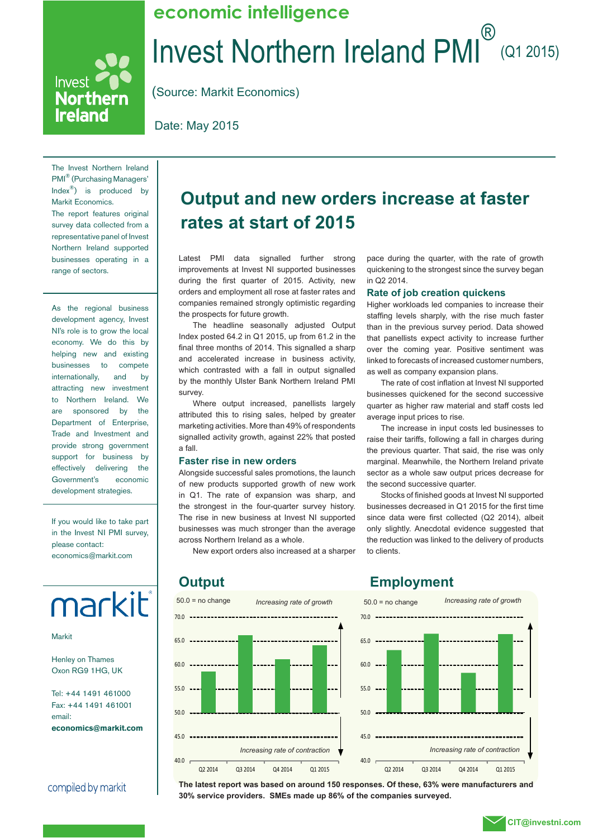### Invest Northern Ireland PMI (Q1 2015) **economic intelligence**

(Source: Markit Economics)

Date: May 2015

The Invest Northern Ireland PMI® (Purchasing Managers' Index®) is produced by Markit Economics. The report features original survey data collected from a representative panel of Invest Northern Ireland supported businesses operating in a range of sectors.

Invest<sup>e</sup>

**Northern Ireland** 

As the regional business development agency, Invest NI's role is to grow the local economy. We do this by helping new and existing businesses to compete internationally, and by attracting new investment to Northern Ireland. We are sponsored by the Department of Enterprise, Trade and Investment and provide strong government support for business by effectively delivering the Government's economic development strategies.

If you would like to take part in the Invest NI PMI survey, please contact: economics@markit.com



Markit

Henley on Thames Oxon RG9 1HG, UK

Tel: +44 1491 461000 Fax: +44 1491 461001 email: **economics@markit.com**

compiled by markit

### **Output and new orders increase at faster rates at start of 2015**

Latest PMI data signalled further strong improvements at Invest NI supported businesses during the first quarter of 2015. Activity, new orders and employment all rose at faster rates and companies remained strongly optimistic regarding the prospects for future growth.

The headline seasonally adjusted Output Index posted 64.2 in Q1 2015, up from 61.2 in the final three months of 2014. This signalled a sharp and accelerated increase in business activity, which contrasted with a fall in output signalled by the monthly Ulster Bank Northern Ireland PMI survey.

Where output increased, panellists largely attributed this to rising sales, helped by greater marketing activities. More than 49% of respondents signalled activity growth, against 22% that posted a fall.

### **Faster rise in new orders**

Alongside successful sales promotions, the launch of new products supported growth of new work in Q1. The rate of expansion was sharp, and the strongest in the four-quarter survey history. The rise in new business at Invest NI supported businesses was much stronger than the average across Northern Ireland as a whole.

New export orders also increased at a sharper

pace during the quarter, with the rate of growth quickening to the strongest since the survey began in Q2 2014.

#### **Rate of job creation quickens**

Higher workloads led companies to increase their staffing levels sharply, with the rise much faster than in the previous survey period. Data showed that panellists expect activity to increase further over the coming year. Positive sentiment was linked to forecasts of increased customer numbers, as well as company expansion plans.

The rate of cost inflation at Invest NI supported businesses quickened for the second successive quarter as higher raw material and staff costs led average input prices to rise.

The increase in input costs led businesses to raise their tariffs, following a fall in charges during the previous quarter. That said, the rise was only marginal. Meanwhile, the Northern Ireland private sector as a whole saw output prices decrease for the second successive quarter.

Stocks of finished goods at Invest NI supported businesses decreased in Q1 2015 for the first time since data were first collected (Q2 2014), albeit only slightly. Anecdotal evidence suggested that the reduction was linked to the delivery of products to clients.



### **Output Employment**



**The latest report was based on around 150 responses. Of these, 63% were manufacturers and 30% service providers. SMEs made up 86% of the companies surveyed.**

### **CIT@investni.com**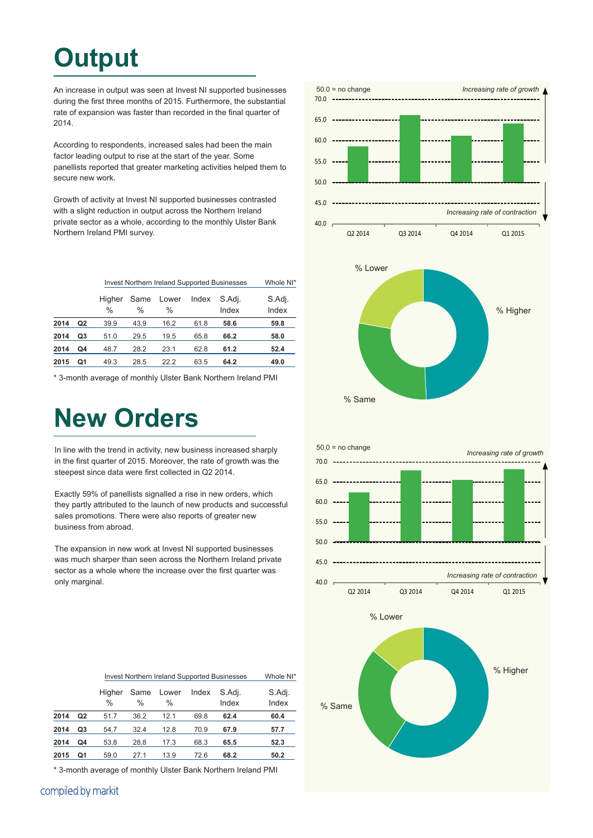## **Output**

An increase in output was seen at Invest NI supported businesses during the first three months of 2015. Furthermore, the substantial rate of expansion was faster than recorded in the final quarter of 2014.

According to respondents, increased sales had been the main factor leading output to rise at the start of the year. Some panellists reported that greater marketing activities helped them to secure new work.

Growth of activity at Invest NI supported businesses contrasted with a slight reduction in output across the Northern Ireland private sector as a whole, according to the monthly Ulster Bank Northern Ireland PMI survey.

|      |                | <b>Invest Northern Ireland Supported Businesses</b> | Whole NI* |               |       |                 |                 |
|------|----------------|-----------------------------------------------------|-----------|---------------|-------|-----------------|-----------------|
|      |                | Higher<br>$\frac{0}{0}$                             | Same<br>% | Lower<br>$\%$ | Index | S.Adj.<br>Index | S.Adj.<br>Index |
| 2014 | Q <sub>2</sub> | 39.9                                                | 43.9      | 16.2          | 61.8  | 58.6            | 59.8            |
| 2014 | Q3             | 51.0                                                | 29.5      | 19.5          | 65.8  | 66.2            | 58.0            |
| 2014 | Q4             | 48.7                                                | 28.2      | 23.1          | 62.8  | 61.2            | 52.4            |
| 2015 | Q1             | 49.3                                                | 28.5      | 22.2          | 63.5  | 64.2            | 49.0            |

\* 3-month average of monthly Ulster Bank Northern Ireland PMI

### **New Orders**

In line with the trend in activity, new business increased sharply in the first quarter of 2015. Moreover, the rate of growth was the steepest since data were first collected in Q2 2014.

Exactly 59% of panellists signalled a rise in new orders, which they partly attributed to the launch of new products and successful sales promotions. There were also reports of greater new business from abroad.

The expansion in new work at Invest NI supported businesses was much sharper than seen across the Northern Ireland private sector as a whole where the increase over the first quarter was only marginal.



% Same

|      |                | Invest Northern Ireland Supported Businesses | Whole NI* |               |       |                 |                 |
|------|----------------|----------------------------------------------|-----------|---------------|-------|-----------------|-----------------|
|      |                | Higher<br>$\frac{0}{0}$                      | Same<br>% | Lower<br>$\%$ | Index | S.Adj.<br>Index | S.Adj.<br>Index |
| 2014 | Q <sub>2</sub> | 51.7                                         | 36.2      | 12.1          | 69.8  | 62.4            | 60.4            |
| 2014 | Q3             | 54.7                                         | 32.4      | 12.8          | 70.9  | 67.9            | 57.7            |
| 2014 | Q4             | 53.8                                         | 28.8      | 17.3          | 68.3  | 65.5            | 52.3            |
| 2015 | Q1             | 59.0                                         | 27.1      | 13.9          | 72.6  | 68.2            | 50.2            |

\* 3-month average of monthly Ulster Bank Northern Ireland PMI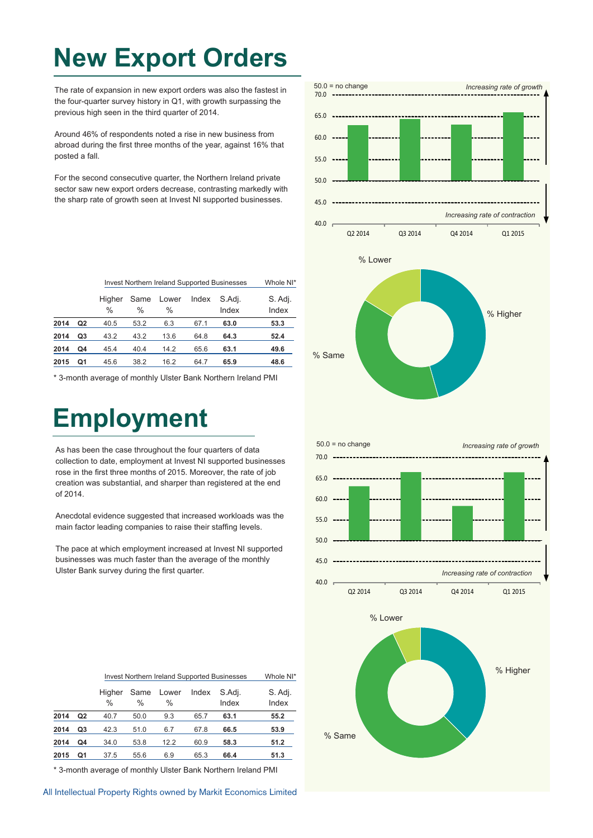## **New Export Orders**

The rate of expansion in new export orders was also the fastest in the four-quarter survey history in Q1, with growth surpassing the previous high seen in the third quarter of 2014.

Around 46% of respondents noted a rise in new business from abroad during the first three months of the year, against 16% that posted a fall.

For the second consecutive quarter, the Northern Ireland private sector saw new export orders decrease, contrasting markedly with the sharp rate of growth seen at Invest NI supported businesses.

|      |                | <b>Invest Northern Ireland Supported Businesses</b> | Whole NI*    |                        |       |                 |                  |
|------|----------------|-----------------------------------------------------|--------------|------------------------|-------|-----------------|------------------|
|      |                | Higher<br>$\frac{0}{0}$                             | Same<br>$\%$ | Lower<br>$\frac{0}{0}$ | Index | S.Adj.<br>Index | S. Adj.<br>Index |
| 2014 | Q <sub>2</sub> | 40.5                                                | 53.2         | 6.3                    | 67.1  | 63.0            | 53.3             |
| 2014 | Q3             | 43.2                                                | 43.2         | 13.6                   | 64.8  | 64.3            | 52.4             |
| 2014 | Q4             | 45.4                                                | 40.4         | 14.2                   | 65.6  | 63.1            | 49.6             |
| 2015 | Q1             | 45.6                                                | 38.2         | 16.2                   | 64.7  | 65.9            | 48.6             |

\* 3-month average of monthly Ulster Bank Northern Ireland PMI

## **Employment**

As has been the case throughout the four quarters of data collection to date, employment at Invest NI supported businesses rose in the first three months of 2015. Moreover, the rate of job creation was substantial, and sharper than registered at the end of 2014.

Anecdotal evidence suggested that increased workloads was the main factor leading companies to raise their staffing levels.

The pace at which employment increased at Invest NI supported businesses was much faster than the average of the monthly Ulster Bank survey during the first quarter.



|      |                | Invest Northern Ireland Supported Businesses | Whole NI*             |                        |       |                 |                  |
|------|----------------|----------------------------------------------|-----------------------|------------------------|-------|-----------------|------------------|
|      |                | Higher<br>$\%$                               | Same<br>$\frac{0}{0}$ | Lower<br>$\frac{0}{0}$ | Index | S.Adi.<br>Index | S. Adj.<br>Index |
| 2014 | Q <sub>2</sub> | 40.7                                         | 50.0                  | 9.3                    | 65.7  | 63.1            | 55.2             |
| 2014 | Q3             | 42.3                                         | 51.0                  | 6.7                    | 67.8  | 66.5            | 53.9             |
| 2014 | Q4             | 34.0                                         | 53.8                  | 12.2                   | 60.9  | 58.3            | 51.2             |
| 2015 | Q1             | 37.5                                         | 55.6                  | 6.9                    | 65.3  | 66.4            | 51.3             |
|      |                |                                              |                       |                        |       |                 |                  |

\* 3-month average of monthly Ulster Bank Northern Ireland PMI

All Intellectual Property Rights owned by Markit Economics Limited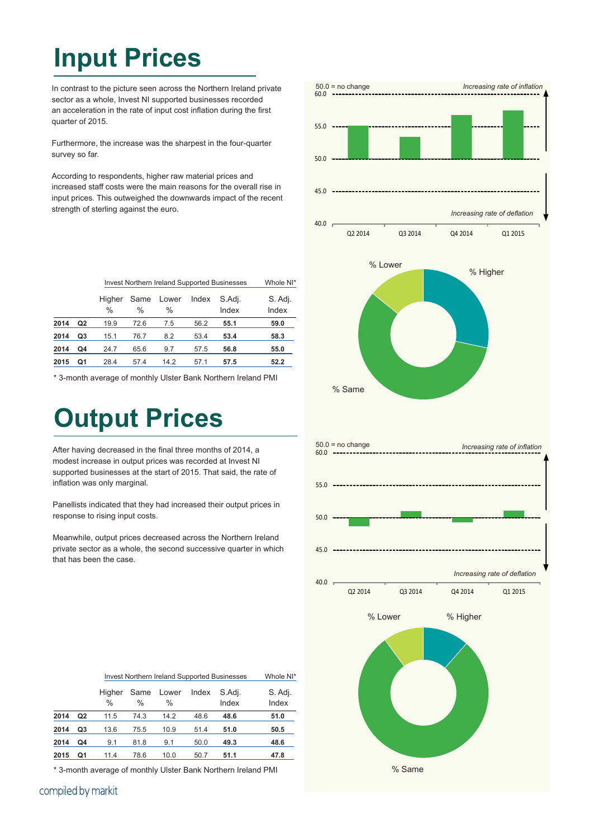## **Input Prices**

In contrast to the picture seen across the Northern Ireland private sector as a whole, Invest NI supported businesses recorded an acceleration in the rate of input cost inflation during the first quarter of 2015.

Furthermore, the increase was the sharpest in the four-quarter survey so far.

According to respondents, higher raw material prices and increased staff costs were the main reasons for the overall rise in input prices. This outweighed the downwards impact of the recent strength of sterling against the euro.

|      |    | <b>Invest Northern Ireland Supported Businesses</b> | Whole NI*             |                        |       |                 |                  |
|------|----|-----------------------------------------------------|-----------------------|------------------------|-------|-----------------|------------------|
|      |    | Higher<br>$\frac{0}{0}$                             | Same<br>$\frac{0}{0}$ | Lower<br>$\frac{0}{0}$ | Index | S.Adj.<br>Index | S. Adj.<br>Index |
| 2014 | Q2 | 19.9                                                | 72.6                  | 7.5                    | 56.2  | 55.1            | 59.0             |
| 2014 | Q3 | 15.1                                                | 76.7                  | 8.2                    | 53.4  | 53.4            | 58.3             |
| 2014 | Q4 | 24.7                                                | 65.6                  | 9.7                    | 57.5  | 56.8            | 55.0             |
| 2015 | Q1 | 28.4                                                | 57.4                  | 14.2                   | 57.1  | 57.5            | 52.2             |

\* 3-month average of monthly Ulster Bank Northern Ireland PMI

## **Output Prices**

After having decreased in the final three months of 2014, a modest increase in output prices was recorded at Invest NI supported businesses at the start of 2015. That said, the rate of inflation was only marginal.

Panellists indicated that they had increased their output prices in response to rising input costs.

Meanwhile, output prices decreased across the Northern Ireland private sector as a whole, the second successive quarter in which that has been the case.



|      |                | Invest Northern Ireland Supported Businesses | Whole NI*    |                        |       |                 |                  |
|------|----------------|----------------------------------------------|--------------|------------------------|-------|-----------------|------------------|
|      |                | Higher<br>$\frac{0}{0}$                      | Same<br>$\%$ | Lower<br>$\frac{0}{0}$ | Index | S.Adj.<br>Index | S. Adj.<br>Index |
| 2014 | Q <sub>2</sub> | 11.5                                         | 74.3         | 14.2                   | 48.6  | 48.6            | 51.0             |
| 2014 | Q <sub>3</sub> | 13.6                                         | 75.5         | 10.9                   | 51.4  | 51.0            | 50.5             |
| 2014 | Q4             | 9.1                                          | 81.8         | 9.1                    | 50.0  | 49.3            | 48.6             |
| 2015 | Q1             | 11.4                                         | 78.6         | 10.0                   | 50.7  | 51.1            | 47.8             |
|      |                |                                              |              |                        |       |                 |                  |

\* 3-month average of monthly Ulster Bank Northern Ireland PMI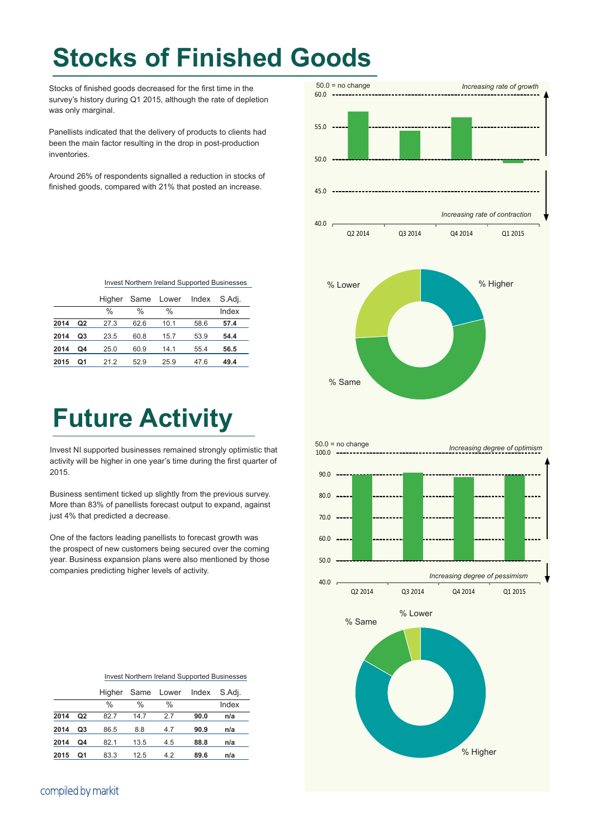# **Stocks of Finished Goods**

 $50.0 = no change$ 

Stocks of finished goods decreased for the first time in the survey's history during Q1 2015, although the rate of depletion was only marginal.

Panellists indicated that the delivery of products to clients had been the main factor resulting in the drop in post-production inventories.

Around 26% of respondents signalled a reduction in stocks of finished goods, compared with 21% that posted an increase.

| 60.0                        |                                                      |
|-----------------------------|------------------------------------------------------|
| 55.0                        |                                                      |
| 50.0                        |                                                      |
| 45.0                        |                                                      |
| 40.0 <sub>1</sub>           | Increasing rate of contraction                       |
| Q2 2014<br>Q3 2014          | Q4 2014<br>Q1 2015                                   |
| % Lower<br>% Same           | % Higher                                             |
| $50.0 = no change$<br>100.0 | Increasing degree of optimism                        |
| 90.0                        |                                                      |
| 80.0                        |                                                      |
| 70.0                        |                                                      |
|                             |                                                      |
| 60.0                        |                                                      |
| $50.0$                      |                                                      |
| 40.0<br>Q2 2014<br>Q3 2014  | Increasing degree of pessimism<br>Q4 2014<br>Q1 2015 |
| % Lower<br>% Same           |                                                      |
|                             | % Higher                                             |

*Increasing rate of growth*

#### Invest Northern Ireland Supported Businesses

|      |    |               |      | Higher Same Lower | Index | S.Adi. |
|------|----|---------------|------|-------------------|-------|--------|
|      |    | $\frac{0}{0}$ | %    | $\frac{0}{0}$     |       | Index  |
| 2014 | Q2 | 27.3          | 62.6 | 10.1              | 58.6  | 57.4   |
| 2014 | Q3 | 23.5          | 60.8 | 15.7              | 53.9  | 54.4   |
| 2014 | Q4 | 25.0          | 60.9 | 14.1              | 55.4  | 56.5   |
| 2015 | Ο1 | 21.2          | 52.9 | 25.9              | 47.6  | 49.4   |

### **Future Activity**

Invest NI supported businesses remained strongly optimistic that activity will be higher in one year's time during the first quarter of 2015.

Business sentiment ticked up slightly from the previous survey. More than 83% of panellists forecast output to expand, against just 4% that predicted a decrease.

One of the factors leading panellists to forecast growth was the prospect of new customers being secured over the coming year. Business expansion plans were also mentioned by those companies predicting higher levels of activity.

| Invest Northern Ireland Supported Businesses |  |
|----------------------------------------------|--|
|----------------------------------------------|--|

|      |                |               |      | Higher Same Lower Index |      | S.Adj. |
|------|----------------|---------------|------|-------------------------|------|--------|
|      |                | $\frac{0}{0}$ | %    | %                       |      | Index  |
| 2014 | Q <sub>2</sub> | 82.7          | 14.7 | 27                      | 90.0 | n/a    |
| 2014 | Q3             | 86.5          | 8.8  | 4.7                     | 90.9 | n/a    |
| 2014 | Q4             | 82.1          | 13.5 | 4.5                     | 88.8 | n/a    |
| 2015 | Ο1             | 83.3          | 12.5 | 4.2                     | 89.6 | n/a    |